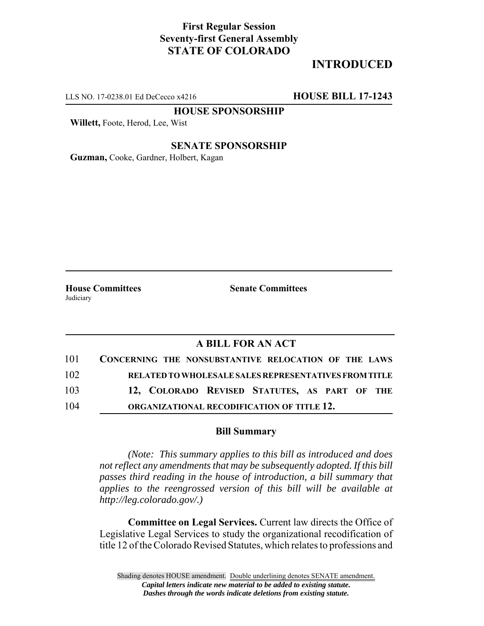## **First Regular Session Seventy-first General Assembly STATE OF COLORADO**

# **INTRODUCED**

LLS NO. 17-0238.01 Ed DeCecco x4216 **HOUSE BILL 17-1243**

**HOUSE SPONSORSHIP**

**Willett,** Foote, Herod, Lee, Wist

#### **SENATE SPONSORSHIP**

**Guzman,** Cooke, Gardner, Holbert, Kagan

Judiciary

**House Committees Senate Committees** 

### **A BILL FOR AN ACT**

| 101 | CONCERNING THE NONSUBSTANTIVE RELOCATION OF THE LAWS  |
|-----|-------------------------------------------------------|
| 102 | RELATED TO WHOLESALE SALES REPRESENTATIVES FROM TITLE |
| 103 | 12, COLORADO REVISED STATUTES, AS PART OF THE         |
| 104 | ORGANIZATIONAL RECODIFICATION OF TITLE 12.            |

#### **Bill Summary**

*(Note: This summary applies to this bill as introduced and does not reflect any amendments that may be subsequently adopted. If this bill passes third reading in the house of introduction, a bill summary that applies to the reengrossed version of this bill will be available at http://leg.colorado.gov/.)*

**Committee on Legal Services.** Current law directs the Office of Legislative Legal Services to study the organizational recodification of title 12 of the Colorado Revised Statutes, which relates to professions and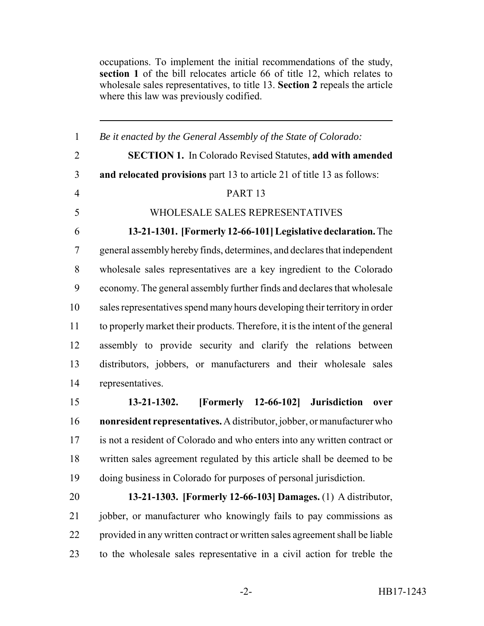occupations. To implement the initial recommendations of the study, **section 1** of the bill relocates article 66 of title 12, which relates to wholesale sales representatives, to title 13. **Section 2** repeals the article where this law was previously codified.

 *Be it enacted by the General Assembly of the State of Colorado:* **SECTION 1.** In Colorado Revised Statutes, **add with amended and relocated provisions** part 13 to article 21 of title 13 as follows: PART 13 WHOLESALE SALES REPRESENTATIVES **13-21-1301. [Formerly 12-66-101] Legislative declaration.** The general assembly hereby finds, determines, and declares that independent wholesale sales representatives are a key ingredient to the Colorado economy. The general assembly further finds and declares that wholesale sales representatives spend many hours developing their territory in order to properly market their products. Therefore, it is the intent of the general assembly to provide security and clarify the relations between distributors, jobbers, or manufacturers and their wholesale sales representatives. **13-21-1302. [Formerly 12-66-102] Jurisdiction over nonresident representatives.** A distributor, jobber, or manufacturer who

 is not a resident of Colorado and who enters into any written contract or written sales agreement regulated by this article shall be deemed to be doing business in Colorado for purposes of personal jurisdiction.

 **13-21-1303. [Formerly 12-66-103] Damages.** (1) A distributor, jobber, or manufacturer who knowingly fails to pay commissions as provided in any written contract or written sales agreement shall be liable to the wholesale sales representative in a civil action for treble the